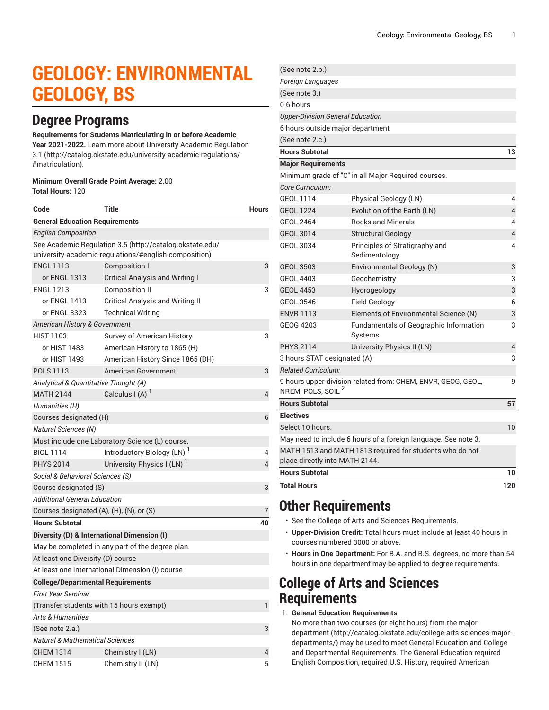# **GEOLOGY: ENVIRONMENTAL GEOLOGY, BS**

### **Degree Programs**

#### **Requirements for Students Matriculating in or before Academic**

**Year 2021-2022.** Learn more about University Academic [Regulation](http://catalog.okstate.edu/university-academic-regulations/#matriculation) [3.1](http://catalog.okstate.edu/university-academic-regulations/#matriculation) ([http://catalog.okstate.edu/university-academic-regulations/](http://catalog.okstate.edu/university-academic-regulations/#matriculation) [#matriculation\)](http://catalog.okstate.edu/university-academic-regulations/#matriculation).

#### **Minimum Overall Grade Point Average:** 2.00 **Total Hours:** 120

| Code                                                                                                              | Title                                           | <b>Hours</b> |  |
|-------------------------------------------------------------------------------------------------------------------|-------------------------------------------------|--------------|--|
| <b>General Education Requirements</b>                                                                             |                                                 |              |  |
| <b>English Composition</b>                                                                                        |                                                 |              |  |
| See Academic Regulation 3.5 (http://catalog.okstate.edu/<br>university-academic-regulations/#english-composition) |                                                 |              |  |
| <b>ENGL 1113</b>                                                                                                  | Composition I                                   | 3            |  |
| or ENGL 1313                                                                                                      | Critical Analysis and Writing I                 |              |  |
| <b>ENGL 1213</b>                                                                                                  | <b>Composition II</b>                           | 3            |  |
| or ENGL 1413                                                                                                      | <b>Critical Analysis and Writing II</b>         |              |  |
| or ENGL 3323                                                                                                      | <b>Technical Writing</b>                        |              |  |
| American History & Government                                                                                     |                                                 |              |  |
| <b>HIST 1103</b>                                                                                                  | Survey of American History                      | 3            |  |
| or HIST 1483                                                                                                      | American History to 1865 (H)                    |              |  |
| or HIST 1493                                                                                                      | American History Since 1865 (DH)                |              |  |
| <b>POLS 1113</b>                                                                                                  | American Government                             | 3            |  |
| Analytical & Quantitative Thought (A)                                                                             |                                                 |              |  |
| <b>MATH 2144</b>                                                                                                  | Calculus I (A)                                  | 4            |  |
| Humanities (H)                                                                                                    |                                                 |              |  |
| Courses designated (H)                                                                                            |                                                 | 6            |  |
| <b>Natural Sciences (N)</b>                                                                                       |                                                 |              |  |
|                                                                                                                   | Must include one Laboratory Science (L) course. |              |  |
| <b>BIOL 1114</b>                                                                                                  | Introductory Biology (LN)                       | 4            |  |
| <b>PHYS 2014</b>                                                                                                  | University Physics I (LN)                       | 4            |  |
| Social & Behavioral Sciences (S)                                                                                  |                                                 |              |  |
| Course designated (S)                                                                                             | 3                                               |              |  |
| Additional General Education                                                                                      |                                                 |              |  |
| Courses designated (A), (H), (N), or (S)                                                                          |                                                 | 7            |  |
| <b>Hours Subtotal</b>                                                                                             |                                                 | 40           |  |
| Diversity (D) & International Dimension (I)                                                                       |                                                 |              |  |
| May be completed in any part of the degree plan.                                                                  |                                                 |              |  |
| At least one Diversity (D) course                                                                                 |                                                 |              |  |
|                                                                                                                   | At least one International Dimension (I) course |              |  |
| <b>College/Departmental Requirements</b>                                                                          |                                                 |              |  |
| <b>First Year Seminar</b>                                                                                         |                                                 |              |  |
| (Transfer students with 15 hours exempt)                                                                          |                                                 |              |  |
| <b>Arts &amp; Humanities</b>                                                                                      |                                                 |              |  |
| (See note 2.a.)                                                                                                   |                                                 | 3            |  |
| <b>Natural &amp; Mathematical Sciences</b>                                                                        |                                                 |              |  |
| <b>CHEM 1314</b>                                                                                                  | Chemistry I (LN)                                | 4            |  |
| <b>CHEM 1515</b>                                                                                                  | Chemistry II (LN)                               | 5            |  |

| <b>Total Hours</b>                      |                                                                | 120            |
|-----------------------------------------|----------------------------------------------------------------|----------------|
| <b>Hours Subtotal</b>                   |                                                                | 10             |
| place directly into MATH 2144.          | MATH 1513 and MATH 1813 required for students who do not       |                |
|                                         | May need to include 6 hours of a foreign language. See note 3. |                |
| Select 10 hours.                        |                                                                | 10             |
| <b>Electives</b>                        |                                                                |                |
| <b>Hours Subtotal</b>                   |                                                                | 57             |
| NREM, POLS, SOIL <sup>2</sup>           | 9 hours upper-division related from: CHEM, ENVR, GEOG, GEOL,   | 9              |
| <b>Related Curriculum:</b>              |                                                                |                |
| 3 hours STAT designated (A)             |                                                                | 3              |
| <b>PHYS 2114</b>                        | University Physics II (LN)                                     | 4              |
| GEOG 4203                               | Fundamentals of Geographic Information<br>Systems              | 3              |
| <b>ENVR 1113</b>                        | Elements of Environmental Science (N)                          | 3              |
| <b>GEOL 3546</b>                        | <b>Field Geology</b>                                           | 6              |
| <b>GEOL 4453</b>                        | Hydrogeology                                                   | 3              |
| GEOL 4403                               | Geochemistry                                                   | 3              |
| <b>GEOL 3503</b>                        | Environmental Geology (N)                                      | 3              |
| <b>GEOL 3034</b>                        | Principles of Stratigraphy and<br>Sedimentology                | 4              |
| <b>GEOL 3014</b>                        | <b>Structural Geology</b>                                      | 4              |
| <b>GEOL 2464</b>                        | <b>Rocks and Minerals</b>                                      | 4              |
| <b>GEOL 1224</b>                        | Evolution of the Earth (LN)                                    | $\overline{4}$ |
| <b>GEOL 1114</b>                        | Physical Geology (LN)                                          | 4              |
| Core Curriculum:                        |                                                                |                |
|                                         | Minimum grade of "C" in all Major Required courses.            |                |
| <b>Major Requirements</b>               |                                                                |                |
| <b>Hours Subtotal</b>                   |                                                                | 13             |
| (See note 2.c.)                         |                                                                |                |
| 6 hours outside major department        |                                                                |                |
| <b>Upper-Division General Education</b> |                                                                |                |
| (See note 3.)<br>0-6 hours              |                                                                |                |
| Foreign Languages                       |                                                                |                |
| (See note 2.b.)                         |                                                                |                |
|                                         |                                                                |                |

### **Other Requirements**

- See the College of Arts and Sciences Requirements.
- **Upper-Division Credit:** Total hours must include at least 40 hours in courses numbered 3000 or above.
- **Hours in One Department:** For B.A. and B.S. degrees, no more than 54 hours in one department may be applied to degree requirements.

### **College of Arts and Sciences Requirements**

1. **General Education Requirements**

No more than two courses (or eight hours) from [the major](http://catalog.okstate.edu/college-arts-sciences-major-departments/) [department](http://catalog.okstate.edu/college-arts-sciences-major-departments/) ([http://catalog.okstate.edu/college-arts-sciences-major](http://catalog.okstate.edu/college-arts-sciences-major-departments/)[departments/\)](http://catalog.okstate.edu/college-arts-sciences-major-departments/) may be used to meet General Education and College and Departmental Requirements. The General Education required English Composition, required U.S. History, required American